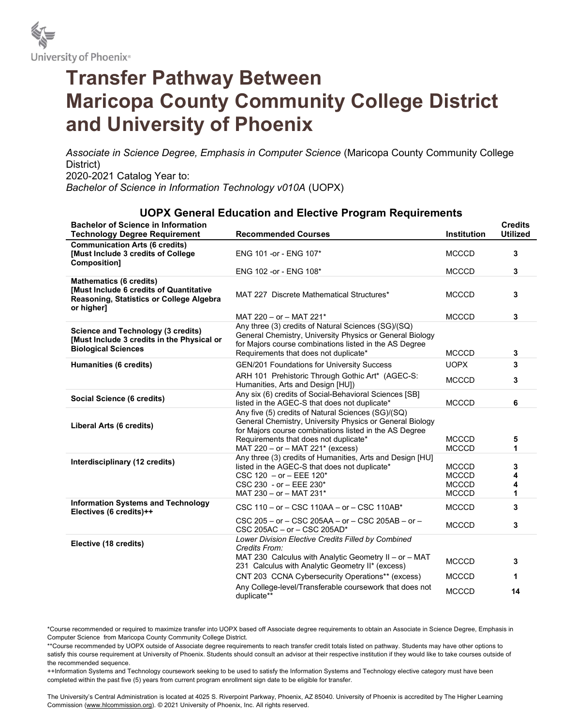

## Transfer Pathway Between Maricopa County Community College District and University of Phoenix

Associate in Science Degree, Emphasis in Computer Science (Maricopa County Community College District) 2020-2021 Catalog Year to: Bachelor of Science in Information Technology v010A (UOPX)

## UOPX General Education and Elective Program Requirements

| <b>Bachelor of Science in Information</b><br><b>Technology Degree Requirement</b>                                                   | <b>Recommended Courses</b>                                                                                                                                                                                                                            | Institution                                                  | <b>Credits</b><br><b>Utilized</b> |
|-------------------------------------------------------------------------------------------------------------------------------------|-------------------------------------------------------------------------------------------------------------------------------------------------------------------------------------------------------------------------------------------------------|--------------------------------------------------------------|-----------------------------------|
| <b>Communication Arts (6 credits)</b><br>[Must Include 3 credits of College<br>Composition]                                         | ENG 101 - or - ENG 107*                                                                                                                                                                                                                               | <b>MCCCD</b>                                                 | 3                                 |
|                                                                                                                                     | ENG 102 -or - ENG 108*                                                                                                                                                                                                                                | <b>MCCCD</b>                                                 | 3                                 |
| <b>Mathematics (6 credits)</b><br>[Must Include 6 credits of Quantitative<br>Reasoning, Statistics or College Algebra<br>or higher] | MAT 227 Discrete Mathematical Structures*                                                                                                                                                                                                             | <b>MCCCD</b>                                                 | 3                                 |
|                                                                                                                                     | MAT 220 - or - MAT 221*                                                                                                                                                                                                                               | <b>MCCCD</b>                                                 | 3                                 |
| <b>Science and Technology (3 credits)</b><br>[Must Include 3 credits in the Physical or<br><b>Biological Sciences</b>               | Any three (3) credits of Natural Sciences (SG)/(SQ)<br>General Chemistry, University Physics or General Biology<br>for Majors course combinations listed in the AS Degree<br>Requirements that does not duplicate*                                    | <b>MCCCD</b>                                                 | 3                                 |
| Humanities (6 credits)                                                                                                              | GEN/201 Foundations for University Success                                                                                                                                                                                                            | <b>UOPX</b>                                                  | 3                                 |
|                                                                                                                                     | ARH 101 Prehistoric Through Gothic Art* (AGEC-S:<br>Humanities, Arts and Design [HU])                                                                                                                                                                 | <b>MCCCD</b>                                                 | 3                                 |
| Social Science (6 credits)                                                                                                          | Any six (6) credits of Social-Behavioral Sciences [SB]<br>listed in the AGEC-S that does not duplicate*                                                                                                                                               | <b>MCCCD</b>                                                 | 6                                 |
| Liberal Arts (6 credits)                                                                                                            | Any five (5) credits of Natural Sciences (SG)/(SQ)<br>General Chemistry, University Physics or General Biology<br>for Majors course combinations listed in the AS Degree<br>Requirements that does not duplicate*<br>MAT 220 - or - MAT 221* (excess) | <b>MCCCD</b><br><b>MCCCD</b>                                 | 5<br>1                            |
| Interdisciplinary (12 credits)                                                                                                      | Any three (3) credits of Humanities, Arts and Design [HU]<br>listed in the AGEC-S that does not duplicate*<br>$CSC 120 - or - EEE 120*$<br>CSC 230 - or - EEE 230*<br>MAT 230 - or - MAT 231*                                                         | <b>MCCCD</b><br><b>MCCCD</b><br><b>MCCCD</b><br><b>MCCCD</b> | 3<br>4<br>1                       |
| <b>Information Systems and Technology</b><br>Electives (6 credits)++                                                                | CSC 110 - or - CSC 110AA - or - CSC 110AB*                                                                                                                                                                                                            | <b>MCCCD</b>                                                 | 3                                 |
|                                                                                                                                     | CSC 205 - or - CSC 205AA - or - CSC 205AB - or -<br>CSC 205AC - or - CSC 205AD*                                                                                                                                                                       | <b>MCCCD</b>                                                 | 3                                 |
| Elective (18 credits)                                                                                                               | Lower Division Elective Credits Filled by Combined<br>Credits From:                                                                                                                                                                                   |                                                              |                                   |
|                                                                                                                                     | MAT 230 Calculus with Analytic Geometry II - or - MAT<br>231 Calculus with Analytic Geometry II* (excess)                                                                                                                                             | <b>MCCCD</b>                                                 | 3                                 |
|                                                                                                                                     | CNT 203 CCNA Cybersecurity Operations** (excess)                                                                                                                                                                                                      | <b>MCCCD</b>                                                 | 1                                 |
|                                                                                                                                     | Any College-level/Transferable coursework that does not<br>duplicate**                                                                                                                                                                                | <b>MCCCD</b>                                                 | 14                                |

\*Course recommended or required to maximize transfer into UOPX based off Associate degree requirements to obtain an Associate in Science Degree, Emphasis in Computer Science from Maricopa County Community College District.

\*\*Course recommended by UOPX outside of Associate degree requirements to reach transfer credit totals listed on pathway. Students may have other options to satisfy this course requirement at University of Phoenix. Students should consult an advisor at their respective institution if they would like to take courses outside of the recommended sequence.

++Information Systems and Technology coursework seeking to be used to satisfy the Information Systems and Technology elective category must have been completed within the past five (5) years from current program enrollment sign date to be eligible for transfer.

The University's Central Administration is located at 4025 S. Riverpoint Parkway, Phoenix, AZ 85040. University of Phoenix is accredited by The Higher Learning Commission (www.hlcommission.org). © 2021 University of Phoenix, Inc. All rights reserved.